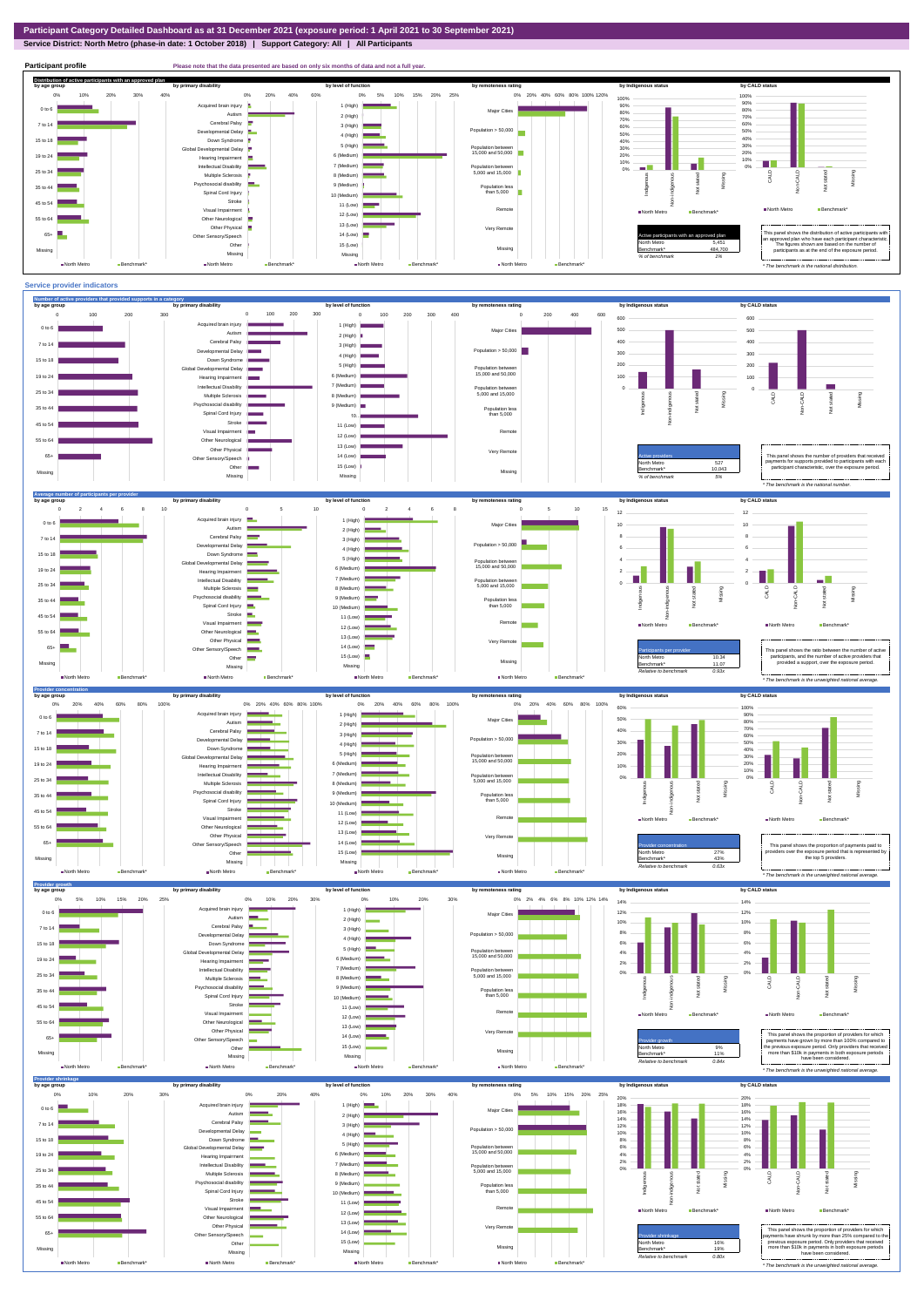**Service District: North Metro (phase-in date: 1 October 2018) | Support Category: All | All Participants**



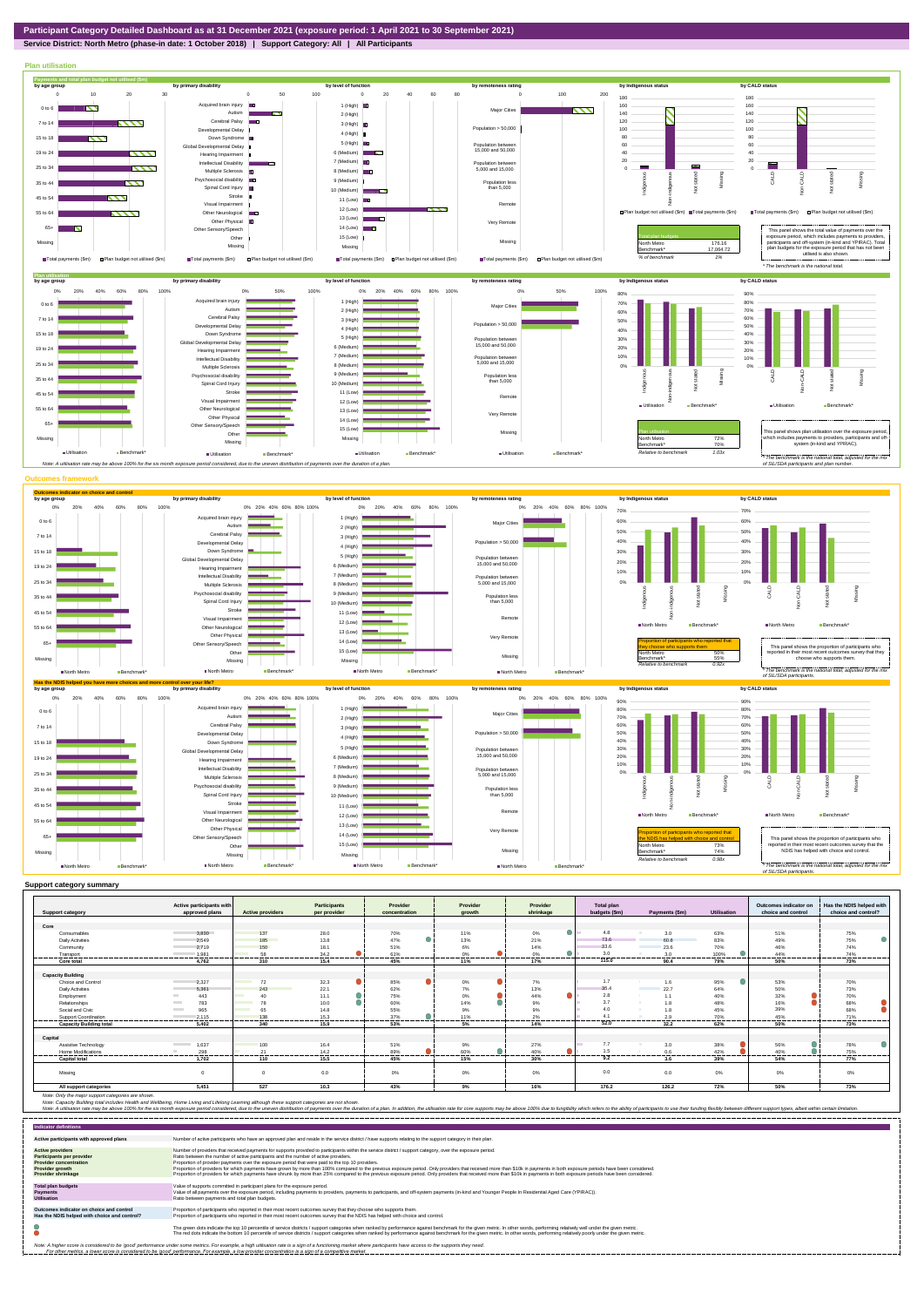## **Service District: North Metro (phase-in date: 1 October 2018) | Support Category: All | All Participants**

**Plan utilisation**



|                                | Active participants with          |                         | <b>Participants</b> | Provider      | Provider                     | Provider       | Total plan    |                  |                    | Outcomes indicator on | Has the NDIS helped with |
|--------------------------------|-----------------------------------|-------------------------|---------------------|---------------|------------------------------|----------------|---------------|------------------|--------------------|-----------------------|--------------------------|
| <b>Support category</b>        | approved plans                    | <b>Active providers</b> | per provider        | concentration | arowth                       | shrinkage      | budgets (\$m) | Payments (\$m)   | <b>Utilisation</b> | choice and control    | choice and control?      |
|                                |                                   |                         |                     |               |                              |                |               |                  |                    |                       |                          |
| Core                           |                                   |                         |                     |               |                              |                |               |                  |                    |                       |                          |
| Consumables                    | 3.830                             | 137                     | 28.0                | 70%           | 11%                          | 0%<br>- 1      | 4.8           | 3.0              | 63%                | 51%                   | 75%                      |
| <b>Daily Activities</b>        | 2.549                             | 185                     | 13.8                | 47%           | 13%                          | 21%            | 73.6          | 60.8             | 83%                | 49%                   | 75%                      |
| Community                      | 2.719                             | 150                     | 18.1                | 51%           | 6%                           | 14%            | 33.6          | 23.6             | 70%                | 46%                   | 74%                      |
| Transport<br>------------      | 1.981                             | 58<br>.                 | 34.2<br>.           | 61%<br>       | 0%<br>---------<br>--------- | 0%<br>-------- | 3.0<br>       | 3.0<br>--------- | 100%<br>--------   | 44%<br>.              | 74%<br>---------         |
| <b>Core total</b>              | 4.762                             | 310                     | 15.4                | 45%           | 11%                          | 17%            | 115.0         | 90.4             | 79%                | 50%                   | 73%                      |
|                                |                                   |                         |                     |               |                              |                |               |                  |                    |                       |                          |
| <b>Capacity Building</b>       |                                   |                         |                     |               |                              |                |               |                  |                    |                       |                          |
| Choice and Control             | 2,327                             | 72                      | 32.3                | 85%           | $0\%$                        | 7%             | 1.7           | 1.6              | 95%                | 53%                   | 70%                      |
| <b>Daily Activities</b>        | 5.361                             | 243                     | 22.1                | 62%           | 7%                           | 13%            | 35.4          | 22.7             | 64%                | 50%                   | 73%                      |
| Employment                     | 443<br><b>COLLEGE</b>             | 40                      | 11.1                | 75%           | Δ<br>0%                      | Δ.<br>44%      | 2.8           | 1.1              | 40%                | 32%                   | 70%                      |
| Relationships                  | 783<br><b>Contract</b>            | 78                      | 10.0                | 60%           | $\bullet$<br>14%             | 9%             | 3.7           | 1.8              | 48%                | 16%                   | 68%                      |
| Social and Civic               | 965<br><b>Contract</b>            | 65                      | 14.8                | 55%           | 9%                           | 9%             | 4.0           | 1.8              | 45%                | 39%                   | 68%                      |
| Support Coordination           | 2.115                             | 138<br>                 | 15.3<br>            | 37%           | 11%                          | 2%<br>------   | 4.1           | 2.9<br>------    | 70%                | 45%                   | 71%                      |
| <b>Capacity Building total</b> | 5.402                             | 340                     | 15.9                | 53%           | 5%                           | 14%            | 52.0          | 32.2             | 62%                | 50%                   | 73%                      |
| Capital                        |                                   |                         |                     |               |                              |                |               |                  |                    |                       |                          |
| Assistive Technology           | 1.637<br><b>Contract Contract</b> | 100                     | 16.4                | 51%           | 9%                           | 27%            | 7.7           | 3.0              | 38%                | 56%                   | 78%                      |
| <b>Home Modifications</b>      | 298                               | 21                      | 14.2                | 89%           | 60%                          | 40%            | 1.5           | 0.6              | 42%                | 40%                   | 75%                      |
| <b>Capital total</b>           | 1.702                             | 110                     | 15.5                | 45%           | 15%                          | 30%            | 9.2           | 3.6              | 39%                | 54%                   | 77%                      |
|                                |                                   |                         |                     |               |                              |                |               |                  |                    |                       |                          |
| Missing                        | $\Omega$                          | $\Omega$                | 0.0                 | 0%            | 0%                           | 0%             | 0.0           | 0.0              | $0\%$              | 0%                    | 0%                       |
| All support categories         | 5.451                             | 527                     | 10.3                | 43%           | 9%                           | 16%            | 176.2         | 126.2            | 72%                | 50%                   | 73%                      |

Note: Only the major support categories are shown.<br>Note: Capacity Building total individual Wellbeing, Home Living and Lifelong Learning although these support categories are not shown.<br>Note: A utilisation rate may be abov

| <b>Indicator definitions</b>                                                                                                                        |                                                                                                                                                                                                                                                                                                                                                                                                                                                                                                                                                                                                                                                                                                                                                                                                                 |
|-----------------------------------------------------------------------------------------------------------------------------------------------------|-----------------------------------------------------------------------------------------------------------------------------------------------------------------------------------------------------------------------------------------------------------------------------------------------------------------------------------------------------------------------------------------------------------------------------------------------------------------------------------------------------------------------------------------------------------------------------------------------------------------------------------------------------------------------------------------------------------------------------------------------------------------------------------------------------------------|
| Active participants with approved plans                                                                                                             | Number of active participants who have an approved plan and reside in the service district / have supports relating to the support category in their plan.                                                                                                                                                                                                                                                                                                                                                                                                                                                                                                                                                                                                                                                      |
| <b>Active providers</b><br><b>Participants per provider</b><br><b>Provider concentration</b><br><b>Provider growth</b><br><b>Provider shrinkage</b> | Number of providers that received payments for supports provided to participants within the service district / support category, over the exposure period,<br>Ratio between the number of active participants and the number of active providers.<br>Proportion of provider payments over the exposure period that were paid to the top 10 providers.<br>Proportion of providers for which payments have grown by more than 100% compared to the previous exposure period. Only providers that received more than \$10k in payments in both exposure periods have been considered.<br>Proportion of providers for which payments have shrunk by more than 25% compared to the previous exposure period. Only providers that received more than \$10k in payments in both exposure periods have been considered. |
| <b>Total plan budgets</b><br><b>Payments</b><br><b>Utilisation</b>                                                                                  | Value of supports committed in participant plans for the exposure period.<br>Value of all payments over the exposure period, including payments to providers, payments to participants, and off-system payments (in-kind and Younger People In Residential Aged Care (YPIRAC)).<br>Ratio between payments and total plan budgets.                                                                                                                                                                                                                                                                                                                                                                                                                                                                               |
| Outcomes indicator on choice and control<br>Has the NDIS helped with choice and control?                                                            | Proportion of participants who reported in their most recent outcomes survey that they choose who supports them.<br>Proportion of participants who reported in their most recent outcomes survey that the NDIS has helped with choice and control.                                                                                                                                                                                                                                                                                                                                                                                                                                                                                                                                                              |
|                                                                                                                                                     | The green dots indicate the top 10 percentile of service districts / support categories when ranked by performance against benchmark for the given metric. In other words, performing relatively well under the given metric.<br>The red dots indicate the bottom 10 percentile of service districts / support categories when ranked by performance against benchmark for the given metric. In other words, performing relatively poorly under the given metri                                                                                                                                                                                                                                                                                                                                                 |
|                                                                                                                                                     | Note: A higher score is considered to be 'good' performance under some metrics. For example, a high utilisation rate is a sign of a functioning market where participants have access to the supports they need.<br>For other metrics, a lower score is considered to be 'good' performance. For example, a low provider concentration is a sign of a competitive market.                                                                                                                                                                                                                                                                                                                                                                                                                                       |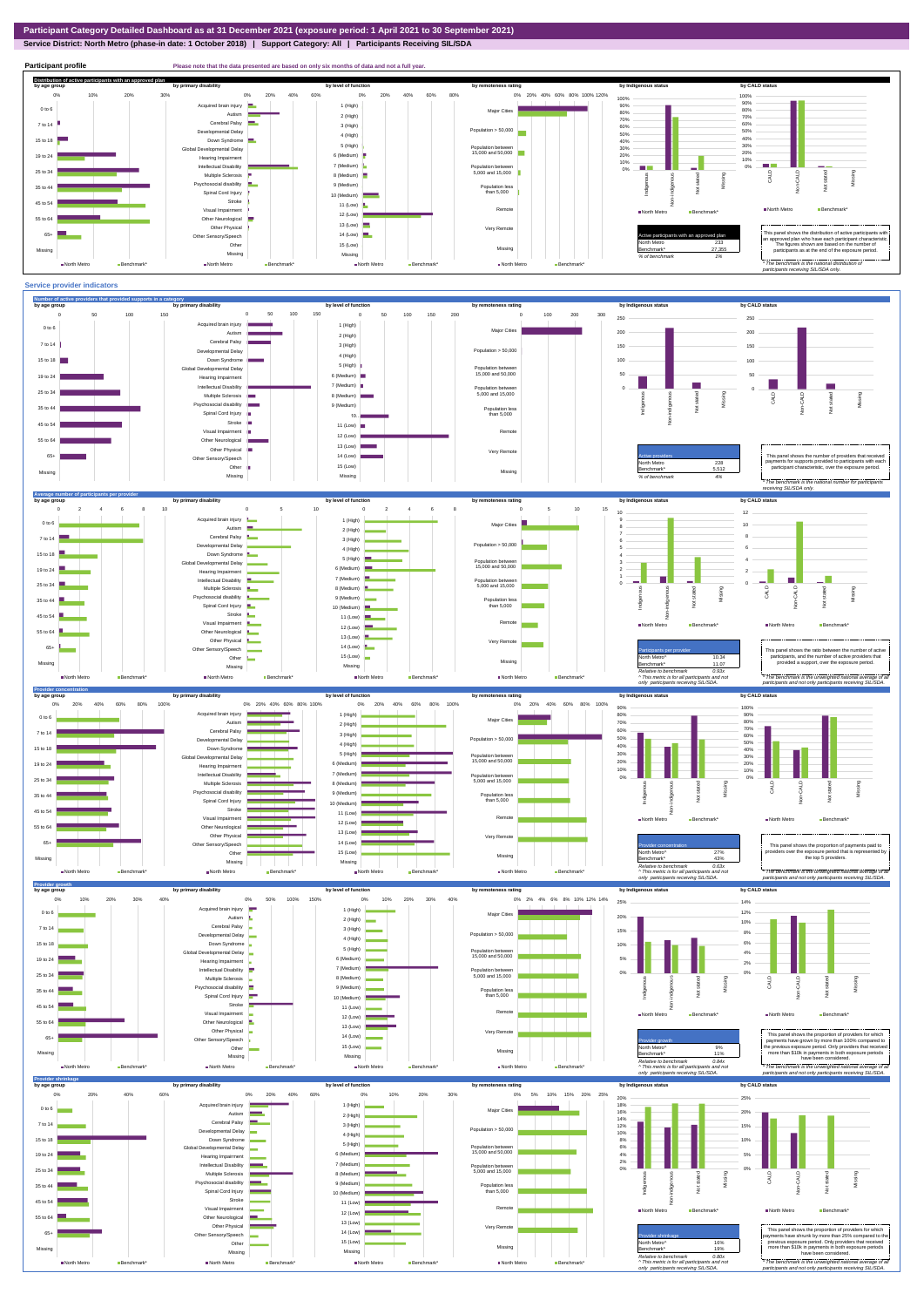**Service District: North Metro (phase-in date: 1 October 2018) | Support Category: All | Participants Receiving SIL/SDA**





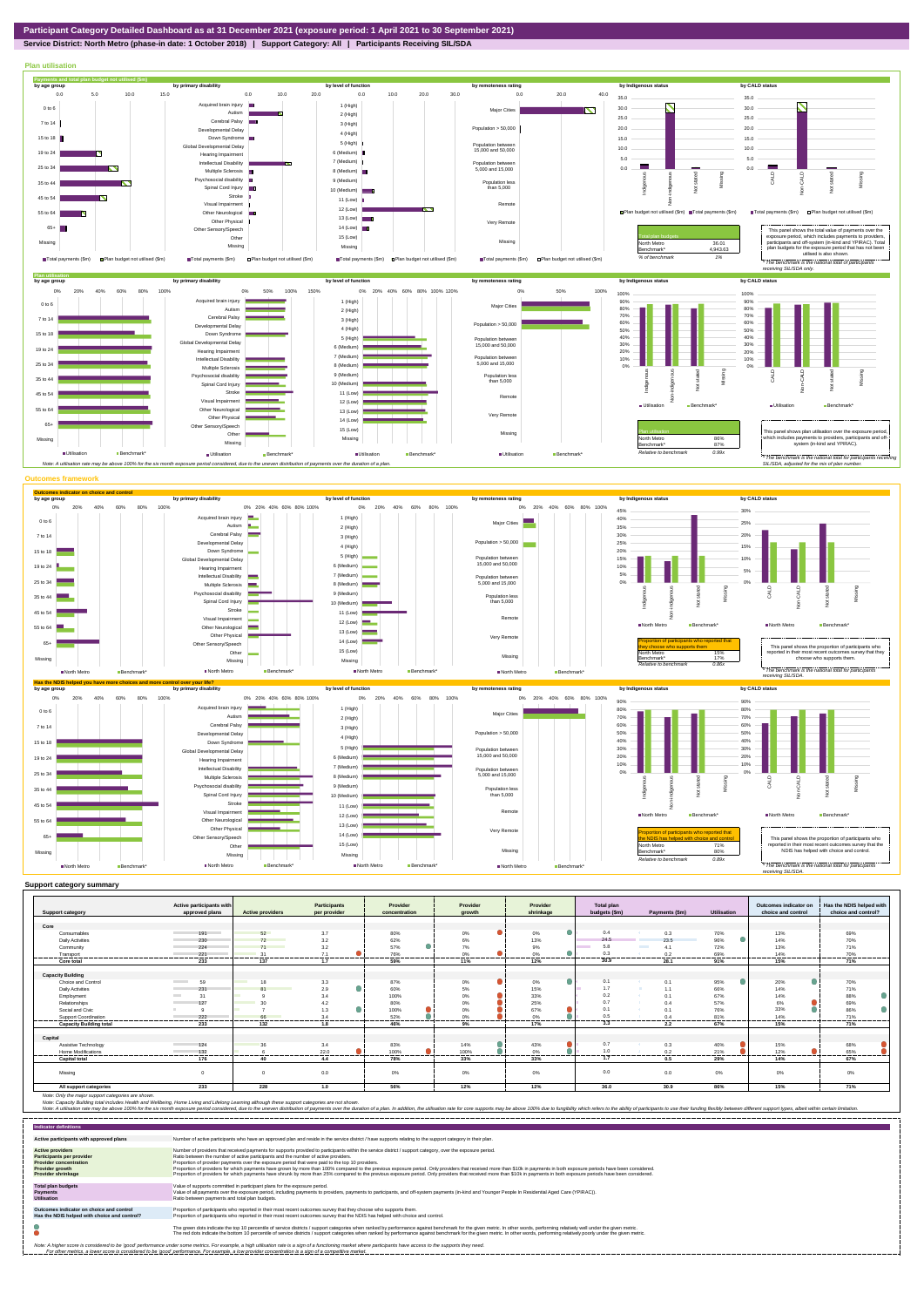

## **Service District: North Metro (phase-in date: 1 October 2018) | Support Category: All | Participants Receiving SIL/SDA**



|                                | Active participants with<br>approved plans | <b>Active providers</b> | <b>Participants</b><br>per provider | Provider      | Provider        | Provider  | <b>Total plan</b><br>budgets (\$m) | Payments (\$m) | Utilisation    | Outcomes indicator on<br>choice and control | Has the NDIS helped with |
|--------------------------------|--------------------------------------------|-------------------------|-------------------------------------|---------------|-----------------|-----------|------------------------------------|----------------|----------------|---------------------------------------------|--------------------------|
| <b>Support category</b>        |                                            |                         |                                     | concentration | arowth          | shrinkage |                                    |                |                |                                             | choice and control?      |
| Core                           |                                            |                         |                                     |               |                 |           |                                    |                |                |                                             |                          |
| Consumables                    | 191                                        | 52                      | 3.7                                 | 80%           | 0%              | 0%        | 0.4                                | 0.3            | 70%            | 13%                                         | 69%                      |
| <b>Daily Activities</b>        | 230                                        | 72                      | 3.2                                 | 62%           | 6%              | 13%       | 24.5                               | 23.5           | 96%            | 14%                                         | 70%                      |
| Community                      | 224                                        | 71 71                   | 3.2                                 | 57%           | 7%              | 9%        | 5.8                                | 4.1            | 72%            | 13%                                         | 71%                      |
| Transport                      | 221                                        | 31                      | 7.1                                 | 76%           | $0\%$           | 0%        | $0$ :                              | 0.2            | 69%            | 14%                                         | 70%                      |
| -----------<br>Core total      | <br>233                                    | <br>137                 | .<br>1.7                            | <br>59%       | --------<br>11% | .<br>12%  | --------<br>30.9                   | .<br>28.1      | -------<br>91% | -------<br>15%                              | .<br>71%                 |
|                                |                                            |                         |                                     |               |                 |           |                                    |                |                |                                             |                          |
| <b>Capacity Building</b>       |                                            |                         |                                     |               |                 |           |                                    |                |                |                                             |                          |
| Choice and Control             | <b>Contract Contract</b><br>59             | 18<br><b>The Co</b>     | 3.3                                 | 87%           | 0%              | 0%        | 0.1                                | 0.1            | 95%            | 20%                                         | 70%                      |
| Daily Activities               | 231                                        |                         | 2.9                                 | 60%           | 5%              | 15%       | 1.7                                | 1.1            | 66%            | 14%                                         | 71%                      |
| Employment                     | 31                                         |                         | 3.4                                 | 100%          | 0%              | 33%       | 0.2                                | 0.1<br>- 44    | 67%            | 14%                                         | 88%                      |
| Relationships                  | 127                                        |                         | 4.2                                 | 80%           | 0%              | 25%       | 0.7                                | H.<br>0.4      | 57%            | 6%                                          | 69%                      |
| Social and Civic               |                                            |                         | 1.3                                 | 100%          | 0%              | 67%       | $\Omega$                           | 0.1            | 76%            | 33%                                         | 86%                      |
| Support Coordination           | 222                                        | 66                      | 3.4                                 | 52%           | 0%              | 0%        | 0.5                                | 0.4            | 81%            | 14%                                         | 71%                      |
| <b>Capacity Building total</b> | 233                                        | 132                     | 1.8                                 | 46%           | 9%              | 17%       | 3.3                                | 2.2            | 67%            | 15%                                         | 71%                      |
| Capital                        |                                            |                         |                                     |               |                 |           |                                    |                |                |                                             |                          |
| Assistive Technology           | 124                                        | 36                      | 3.4                                 | 83%           | 14%             | 43%       | 0.7                                | 0.3            | 40%            | 15%                                         | 68%                      |
| Home Modifications             | 132                                        |                         | 22.0                                | 100%          | 100%            | 0%        | 1.0                                | 0.2            | 21%            | 12%                                         | 65%                      |
| <b>Capital total</b>           | .<br>176                                   | <br>40                  | -------<br>4.4                      | .<br>78%      | .<br>33%        | .<br>33%  | ------<br>1.7                      | .<br>0.5       | .<br>29%       | .<br>14%                                    | .<br>67%                 |
|                                |                                            |                         |                                     |               |                 |           |                                    |                |                |                                             |                          |
| Missina                        | $\Omega$                                   | $\Omega$                | 0.0                                 | 0%            | 0%              | 0%        | 0.0                                | 0.0            | 0%             | 0%                                          | 0%                       |
| All support categories         | 233                                        | 228                     | 1.0                                 | 56%           | 12%             | 12%       | 36.0                               | 30.9           | 86%            | 15%                                         | 71%                      |

| <b>Indicator definitions</b>                                                                                                                 |                                                                                                                                                                                                                                                                                                                                                                                                                                                                                                                                                                                                                                                                                                                                                                                                                 |
|----------------------------------------------------------------------------------------------------------------------------------------------|-----------------------------------------------------------------------------------------------------------------------------------------------------------------------------------------------------------------------------------------------------------------------------------------------------------------------------------------------------------------------------------------------------------------------------------------------------------------------------------------------------------------------------------------------------------------------------------------------------------------------------------------------------------------------------------------------------------------------------------------------------------------------------------------------------------------|
| Active participants with approved plans                                                                                                      | Number of active participants who have an approved plan and reside in the service district / have supports relating to the support category in their plan.                                                                                                                                                                                                                                                                                                                                                                                                                                                                                                                                                                                                                                                      |
| <b>Active providers</b><br>Participants per provider<br><b>Provider concentration</b><br><b>Provider growth</b><br><b>Provider shrinkage</b> | Number of providers that received payments for supports provided to participants within the service district / support category, over the exposure period,<br>Ratio between the number of active participants and the number of active providers.<br>Proportion of provider payments over the exposure period that were paid to the top 10 providers.<br>Proportion of providers for which payments have grown by more than 100% compared to the previous exposure period. Only providers that received more than \$10k in payments in both exposure periods have been considered.<br>Proportion of providers for which payments have shrunk by more than 25% compared to the previous exposure period. Only providers that received more than \$10k in payments in both exposure periods have been considered. |
| <b>Total plan budgets</b><br>Payments<br><b>Utilisation</b>                                                                                  | Value of supports committed in participant plans for the exposure period.<br>Value of all payments over the exposure period, including payments to providers, payments to participants, and off-system payments (in-kind and Younger People In Residential Aged Care (YPIRAC)).<br>Ratio between payments and total plan budgets.                                                                                                                                                                                                                                                                                                                                                                                                                                                                               |
| Outcomes indicator on choice and control<br>Has the NDIS helped with choice and control?                                                     | Proportion of participants who reported in their most recent outcomes survey that they choose who supports them.<br>Proportion of participants who reported in their most recent outcomes survey that the NDIS has helped with choice and control.                                                                                                                                                                                                                                                                                                                                                                                                                                                                                                                                                              |
|                                                                                                                                              | The green dots indicate the top 10 percentile of service districts / support categories when ranked by performance against benchmark for the given metric. In other words, performing relatively well under the given metric.<br>The red dots indicate the bottom 10 percentile of service districts / support categories when ranked by performance against benchmark for the given metric. In other words, performing relatively poorly under the given metri                                                                                                                                                                                                                                                                                                                                                 |
|                                                                                                                                              | Note: A higher score is considered to be 'good' performance under some metrics. For example, a high utilisation rate is a sign of a functioning market where participants have access to the supports they need.<br>For other metrics, a lower score is considered to be 'good' performance. For example, a low provider concentration is a sign of a competitive market.                                                                                                                                                                                                                                                                                                                                                                                                                                       |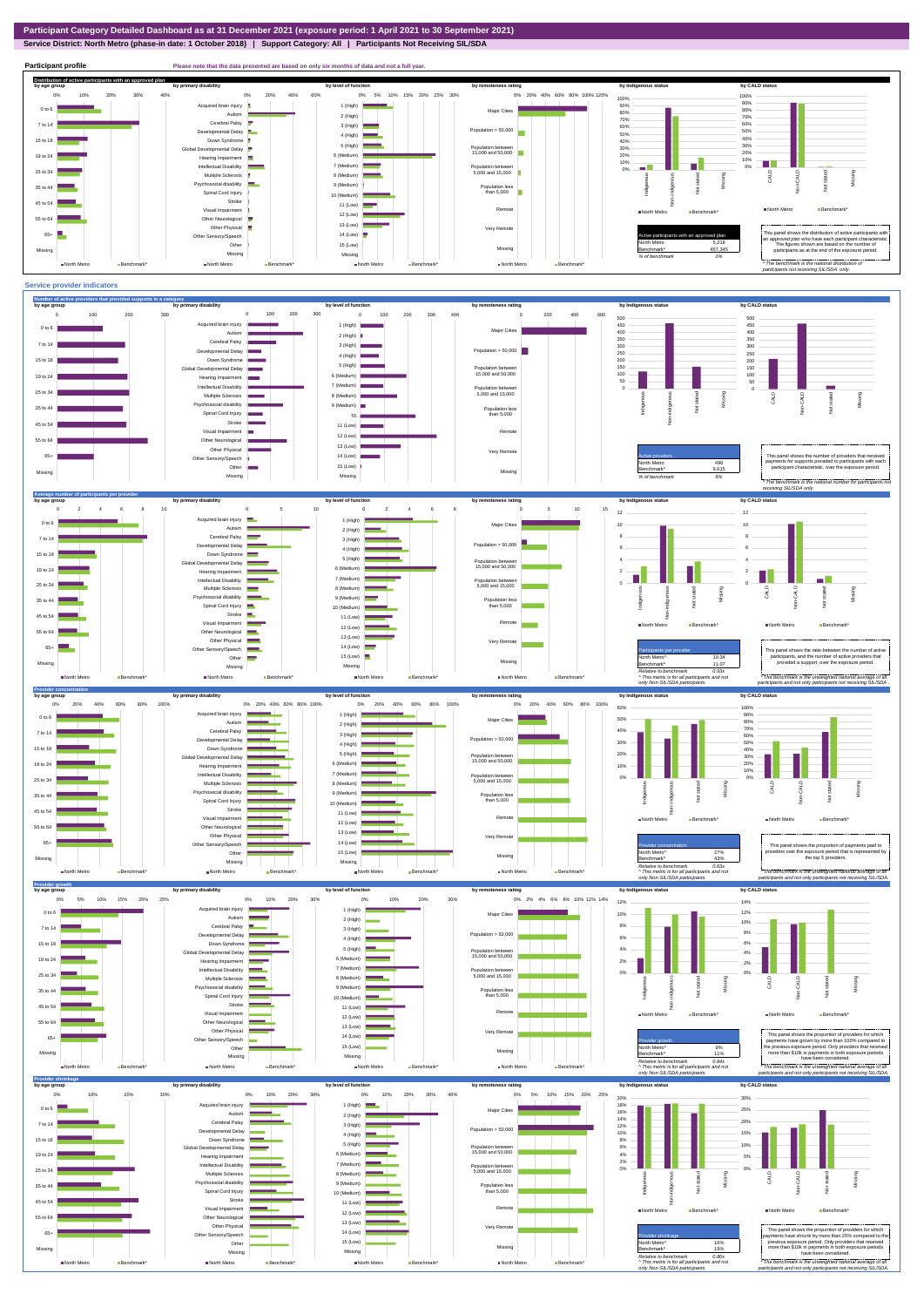**Service District: North Metro (phase-in date: 1 October 2018) | Support Category: All | Participants Not Receiving SIL/SDA**